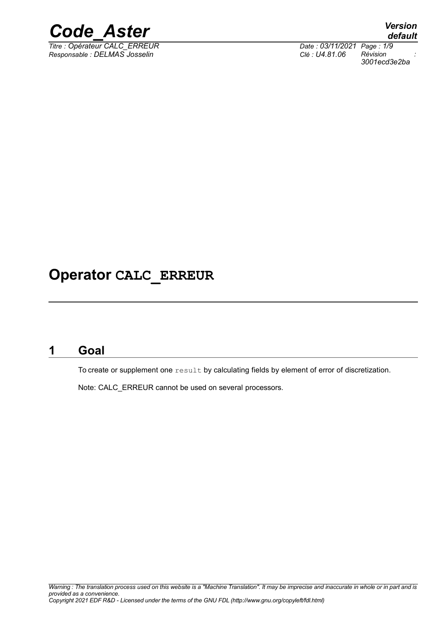

*Titre : Opérateur CALC\_ERREUR Date : 03/11/2021 Page : 1/9 Responsable : DELMAS Josselin Clé : U4.81.06 Révision :*

*3001ecd3e2ba*

### **Operator CALC\_ERREUR**

### **1 Goal**

<span id="page-0-0"></span>To create or supplement one result by calculating fields by element of error of discretization.

Note: CALC\_ERREUR cannot be used on several processors.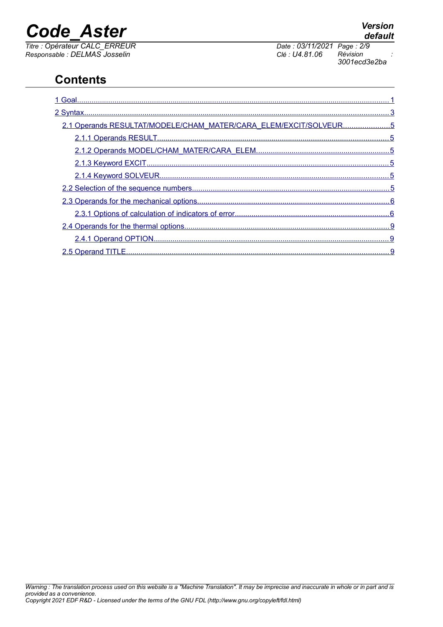*Titre : Opérateur CALC\_ERREUR Date : 03/11/2021 Page : 2/9 Responsable : DELMAS Josselin Clé : U4.81.06 Révision :*

*3001ecd3e2ba*

### **Contents**

| 2.1 Operands RESULTAT/MODELE/CHAM MATER/CARA ELEM/EXCIT/SOLVEUR5 |
|------------------------------------------------------------------|
|                                                                  |
|                                                                  |
|                                                                  |
|                                                                  |
|                                                                  |
|                                                                  |
|                                                                  |
|                                                                  |
|                                                                  |
|                                                                  |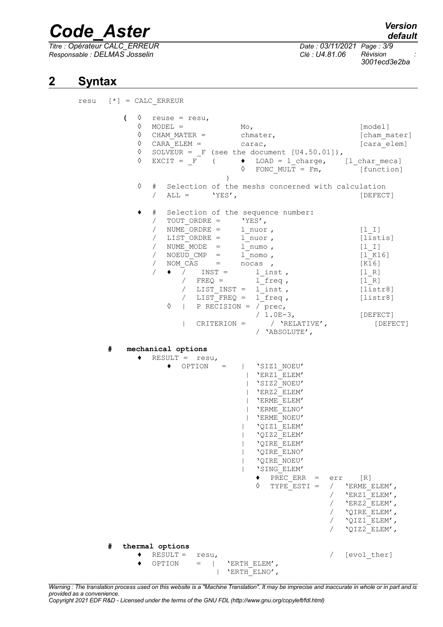*Titre : Opérateur CALC\_ERREUR Date : 03/11/2021 Page : 3/9 Responsable : DELMAS Josselin Clé : U4.81.06 Révision :*

*3001ecd3e2ba*

#### **2 Syntax**

<span id="page-2-0"></span> $resu$   $[*] = CALC$  ERREUR  $\left( \begin{array}{cccc} \Diamond & \mathsf{reuse} = \mathsf{resu} \end{array} \right)$  $\Diamond$  MODEL = Mo, [model] ◊ CHAM\_MATER = chmater, [cham\_mater]  $\sqrt[6]{}$  CARA\_ELEM = carac,  $\sqrt[6]{}$  [cara\_elem]  $\sqrt[6]{}$  SOLVEUR =  $_F$  (see the document [U4.50.01]),<br> $\sqrt[6]{}$  EXCIT =  $_F$  ( $\rightarrow$  LOAD = 1 charge,  $\Diamond$  EXCIT = F (  $\blacklozenge$  LOAD = l charge, [l char meca]  $\sqrt{2}$  FONC MULT = Fm,  $\sqrt{2}$  [function]  $\lambda$ ◊ # Selection of the meshs concerned with calculation  $\angle$  ALL =  $YES'$ ,  $[DEFECT]$ ♦ # Selection of the sequence number: / TOUT\_ORDRE = 'YES',<br>
/ NUME\_ORDRE = 1\_nuor,<br>
/ LIST\_ORDRE = 1\_nuor,<br>
/ NUME\_MODE = 1\_numo, / NUME ORDRE =  $\qquad$  1 nuor ,  $\qquad$  [1 I] / LIST\_ORDRE = l\_nuor , [listis] / NUME\_MODE = 1\_numo ,<br>
/ NOEUD\_CMP = 1\_nomo , [1\_I]<br>
(1 K16] / NOEUD\_CMP = l\_nomo , [l\_K16] / NOM  $\overline{CAS}$  =  $/ \bullet \frac{1}{\sqrt{2}}$  INST =  $1 \text{inst}$ , [1 R] /  $FREQ = \n\begin{bmatrix}\n1 & 0 \\
0 & 1\n\end{bmatrix}\n\begin{bmatrix}\n1 & 0 \\
0 & 1\n\end{bmatrix}$ / LIST\_INST =  $1$ [inst , [listr8]<br>/ LIST\_FREQ =  $1$  freq , [listr8] /  $LIST$  FREQ =  $1$  freq,  $\Diamond$  | P RECISION =  $\bigcap_{\text{prec}}$ , / 1.0E-3, [DEFECT] | CRITERION = / 'RELATIVE', [DEFECT] / 'ABSOLUTE', **# mechanical options** ♦ RESULT = resu, ♦ OPTION = | 'SIZ1\_NOEU' | 'ERZ1\_ELEM' | 'SIZ2\_NOEU' | 'ERZ2\_ELEM' | 'ERME\_ELEM' | 'ERME\_ELNO' | 'ERME\_NOEU' | 'QIZ1\_ELEM' | 'QIZ2\_ELEM' | 'QIRE\_ELEM' | 'QIRE\_ELNO' | 'QIRE\_NOEU' | 'SING\_ELEM'  $\triangleleft$  PREC ERR = err [R]  $\Diamond$  TYPE ESTI = / 'ERME ELEM',  $/$  'ERZ1 ELEM',  $/$  'ERZ2 ELEM', / 'QIRE\_ELEM',  $\sqrt{V}$   $\overline{V}$   $\overline{V}$   $\overline{V}$   $\overline{V}$   $\overline{E}$   $\overline{E}$   $\overline{M}'$   $\overline{V}$ / 'QIZ2\_ELEM', **# thermal options** ♦ RESULT = resu, / [evol\_ther] ♦ OPTION = | 'ERTH\_ELEM', | 'ERTH\_ELNO',

*Warning : The translation process used on this website is a "Machine Translation". It may be imprecise and inaccurate in whole or in part and is provided as a convenience. Copyright 2021 EDF R&D - Licensed under the terms of the GNU FDL (http://www.gnu.org/copyleft/fdl.html)*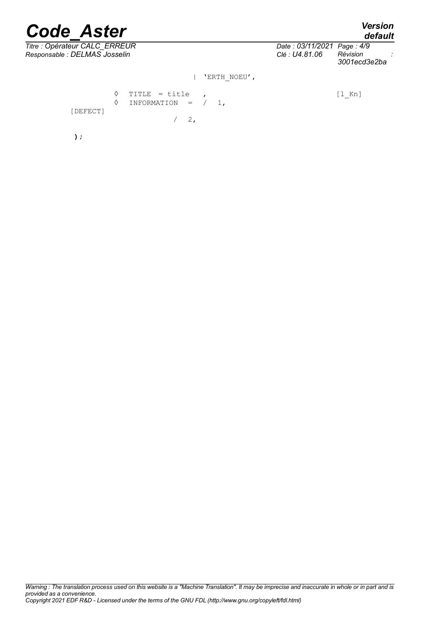**);**

*default*

| Titre : Opérateur CALC_ERREUR<br>Responsable : DELMAS Josselin | Date: 03/11/2021 Page: 4/9<br>Révision<br>Clé : U4.81.06<br>3001ecd3e2ba |  |
|----------------------------------------------------------------|--------------------------------------------------------------------------|--|
| 'ERTH NOEU',                                                   |                                                                          |  |
| ♦<br>TITLE = title<br>INFORMATION = $/ 1$ ,<br>♦<br>[DEFECT]   | $[1$ Kn]                                                                 |  |
| $2$ ,                                                          |                                                                          |  |

*Warning : The translation process used on this website is a "Machine Translation". It may be imprecise and inaccurate in whole or in part and is provided as a convenience. Copyright 2021 EDF R&D - Licensed under the terms of the GNU FDL (http://www.gnu.org/copyleft/fdl.html)*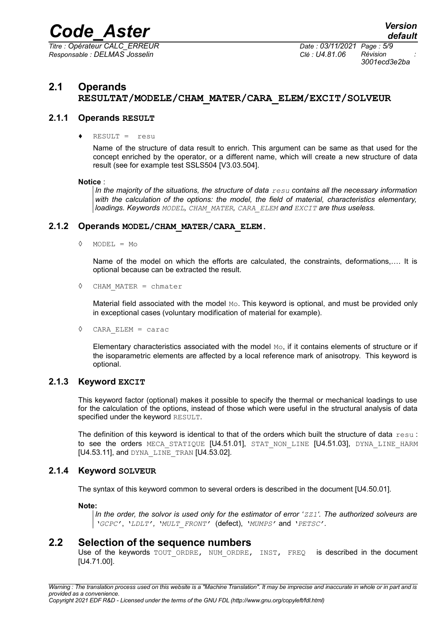*Titre : Opérateur CALC\_ERREUR Date : 03/11/2021 Page : 5/9 Responsable : DELMAS Josselin Clé : U4.81.06 Révision :*

*3001ecd3e2ba*

#### <span id="page-4-5"></span>**2.1 Operands RESULTAT/MODELE/CHAM\_MATER/CARA\_ELEM/EXCIT/SOLVEUR**

#### **2.1.1 Operands RESULT**

<span id="page-4-4"></span> $RESULT =$  resu

Name of the structure of data result to enrich. This argument can be same as that used for the concept enriched by the operator, or a different name, which will create a new structure of data result (see for example test SSLS504 [V3.03.504].

#### **Notice** :

*In the majority of the situations, the structure of data resu contains all the necessary information with the calculation of the options: the model, the field of material, characteristics elementary, loadings. Keywords MODEL, CHAM\_MATER, CARA\_ELEM and EXCIT are thus useless.*

#### **2.1.2 Operands MODEL/CHAM\_MATER/CARA\_ELEM.**

<span id="page-4-3"></span>◊ MODEL = Mo

Name of the model on which the efforts are calculated, the constraints, deformations,…. It is optional because can be extracted the result.

◊ CHAM\_MATER = chmater

Material field associated with the model  $Mo$ . This keyword is optional, and must be provided only in exceptional cases (voluntary modification of material for example).

◊ CARA\_ELEM = carac

Elementary characteristics associated with the model  $M_{\odot}$ , if it contains elements of structure or if the isoparametric elements are affected by a local reference mark of anisotropy. This keyword is optional.

#### **2.1.3 Keyword EXCIT**

<span id="page-4-2"></span>This keyword factor (optional) makes it possible to specify the thermal or mechanical loadings to use for the calculation of the options, instead of those which were useful in the structural analysis of data specified under the keyword RESULT.

The definition of this keyword is identical to that of the orders which built the structure of data resu : to see the orders MECA STATIQUE [U4.51.01], STAT NON LINE [U4.51.03], DYNA LINE HARM [U4.53.11], and DYNA\_LINE\_TRAN [U4.53.02].

#### **2.1.4 Keyword SOLVEUR**

<span id="page-4-1"></span>The syntax of this keyword common to several orders is described in the document [U4.50.01].

**Note:**

*In the order, the solvor is used only for the estimator of error 'ZZ1'. The authorized solveurs are 'GCPC'*, *'LDLT', 'MULT\_FRONT'* (defect), *'MUMPS'* and *'PETSC'.*

#### **2.2 Selection of the sequence numbers**

<span id="page-4-0"></span>Use of the keywords TOUT ORDRE, NUM ORDRE, INST, FREQ is described in the document [U4.71.00].

*Warning : The translation process used on this website is a "Machine Translation". It may be imprecise and inaccurate in whole or in part and is provided as a convenience. Copyright 2021 EDF R&D - Licensed under the terms of the GNU FDL (http://www.gnu.org/copyleft/fdl.html)*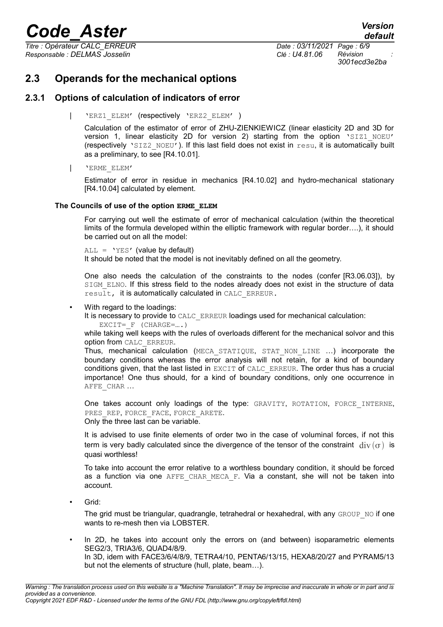*Titre : Opérateur CALC\_ERREUR Date : 03/11/2021 Page : 6/9 Responsable : DELMAS Josselin Clé : U4.81.06 Révision :*

*3001ecd3e2ba*

### <span id="page-5-1"></span>**2.3 Operands for the mechanical options**

#### **2.3.1 Options of calculation of indicators of error**

<span id="page-5-0"></span>'ERZ1\_ELEM' (respectively 'ERZ2\_ELEM' )

Calculation of the estimator of error of ZHU-ZIENKIEWICZ (linear elasticity 2D and 3D for version 1, linear elasticity 2D for version 2) starting from the option 'SIZ1 NOEU' (respectively 'SIZ2\_NOEU'). If this last field does not exist in resu, it is automatically built as a preliminary, to see [R4.10.01].

| 'ERME\_ELEM'

Estimator of error in residue in mechanics [R4.10.02] and hydro-mechanical stationary [R4.10.04] calculated by element.

#### **The Councils of use of the option ERME\_ELEM**

For carrying out well the estimate of error of mechanical calculation (within the theoretical limits of the formula developed within the elliptic framework with regular border….), it should be carried out on all the model:

 $ALL = 'YES'$  (value by default)

It should be noted that the model is not inevitably defined on all the geometry.

One also needs the calculation of the constraints to the nodes (confer [R3.06.03]), by SIGM\_ELNO. If this stress field to the nodes already does not exist in the structure of data result, it is automatically calculated in CALC\_ERREUR.

#### With regard to the loadings:

It is necessary to provide to CALC ERREUR loadings used for mechanical calculation:

EXCIT=  $F$  (CHARGE=....)

while taking well keeps with the rules of overloads different for the mechanical solvor and this option from CALC\_ERREUR.

Thus, mechanical calculation (MECA\_STATIQUE, STAT\_NON\_LINE …) incorporate the boundary conditions whereas the error analysis will not retain, for a kind of boundary conditions given, that the last listed in EXCIT of CALC\_ERREUR. The order thus has a crucial importance! One thus should, for a kind of boundary conditions, only one occurrence in AFFE\_CHAR ...

One takes account only loadings of the type: GRAVITY, ROTATION, FORCE INTERNE, PRES\_REP, FORCE\_FACE, FORCE\_ARETE. Only the three last can be variable.

It is advised to use finite elements of order two in the case of voluminal forces, if not this term is very badly calculated since the divergence of the tensor of the constraint  $\text{div}(\sigma)$  is

quasi worthless! To take into account the error relative to a worthless boundary condition, it should be forced as a function via one AFFE CHAR MECA F. Via a constant, she will not be taken into

Grid:

account.

The grid must be triangular, quadrangle, tetrahedral or hexahedral, with any GROUP NO if one wants to re-mesh then via LOBSTER.

In 2D, he takes into account only the errors on (and between) isoparametric elements SEG2/3, TRIA3/6, QUAD4/8/9. In 3D, idem with FACE3/6/4/8/9, TETRA4/10, PENTA6/13/15, HEXA8/20/27 and PYRAM5/13 but not the elements of structure (hull, plate, beam…).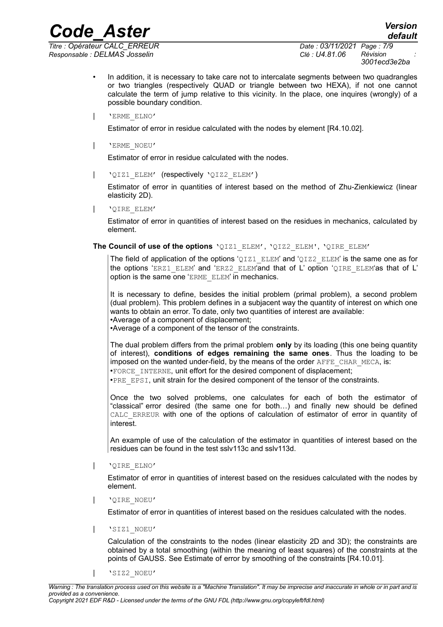*Responsable : DELMAS Josselin Clé : U4.81.06 Révision :*

*Titre : Opérateur CALC\_ERREUR Date : 03/11/2021 Page : 7/9 3001ecd3e2ba*

- In addition, it is necessary to take care not to intercalate segments between two quadrangles or two triangles (respectively QUAD or triangle between two HEXA), if not one cannot calculate the term of jump relative to this vicinity. In the place, one inquires (wrongly) of a possible boundary condition.
- | 'ERME\_ELNO'

Estimator of error in residue calculated with the nodes by element [R4.10.02].

| 'ERME\_NOEU'

Estimator of error in residue calculated with the nodes.

| 'QIZ1\_ELEM' (respectively 'QIZ2\_ELEM')

Estimator of error in quantities of interest based on the method of Zhu-Zienkiewicz (linear elasticity 2D).

| 'QIRE\_ELEM'

Estimator of error in quantities of interest based on the residues in mechanics, calculated by element.

**The Council of use of the options** 'QIZ1\_ELEM', 'QIZ2\_ELEM', 'QIRE\_ELEM'

The field of application of the options ' $OIZ1$  ELEM' and ' $OIZ2$  ELEM' is the same one as for the options 'ERZ1\_ELEM' and 'ERZ2\_ELEM'and that of L' option 'QIRE\_ELEM'as that of L' option is the same one 'ERME\_ELEM' in mechanics.

It is necessary to define, besides the initial problem (primal problem), a second problem (dual problem). This problem defines in a subjacent way the quantity of interest on which one wants to obtain an error. To date, only two quantities of interest are available: •Average of a component of displacement;

•Average of a component of the tensor of the constraints.

The dual problem differs from the primal problem **only** by its loading (this one being quantity of interest), **conditions of edges remaining the same ones**. Thus the loading to be imposed on the wanted under-field, by the means of the order AFFE\_CHAR\_MECA, is: •FORCE\_INTERNE, unit effort for the desired component of displacement;

•PRE\_EPSI, unit strain for the desired component of the tensor of the constraints.

Once the two solved problems, one calculates for each of both the estimator of "classical" error desired (the same one for both…) and finally new should be defined CALC ERREUR with one of the options of calculation of estimator of error in quantity of interest.

An example of use of the calculation of the estimator in quantities of interest based on the residues can be found in the test sslv113c and sslv113d.

| 'QIRE\_ELNO'

Estimator of error in quantities of interest based on the residues calculated with the nodes by element.

| 'QIRE\_NOEU'

Estimator of error in quantities of interest based on the residues calculated with the nodes.

| 'SIZ1\_NOEU'

Calculation of the constraints to the nodes (linear elasticity 2D and 3D); the constraints are obtained by a total smoothing (within the meaning of least squares) of the constraints at the points of GAUSS. See Estimate of error by smoothing of the constraints [R4.10.01].

| 'SIZ2\_NOEU'

*Copyright 2021 EDF R&D - Licensed under the terms of the GNU FDL (http://www.gnu.org/copyleft/fdl.html)*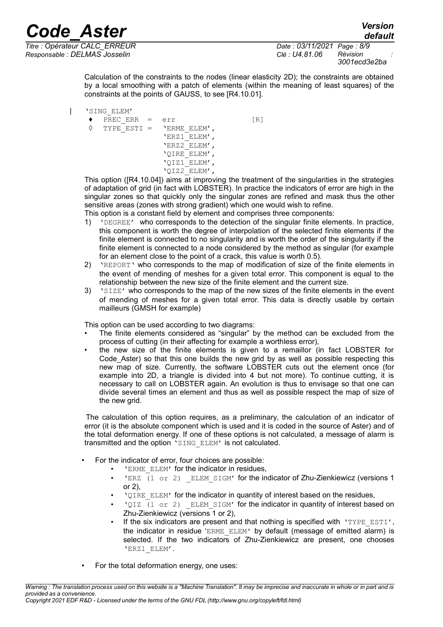*default*

*Titre : Opérateur CALC\_ERREUR Date : 03/11/2021 Page : 8/9 Responsable : DELMAS Josselin Clé : U4.81.06 Révision :*

*3001ecd3e2ba*

Calculation of the constraints to the nodes (linear elasticity 2D); the constraints are obtained by a local smoothing with a patch of elements (within the meaning of least squares) of the constraints at the points of GAUSS, to see [R4.10.01].

| 'SING\_ELEM'

 $\triangle$  PREC\_ERR = err [R]  $\Diamond$  TYPE ESTI = 'ERME\_ELEM', 'ERZ1\_ELEM', 'ERZ2\_ELEM', 'QIRE\_ELEM', 'QIZ1\_ELEM', 'QIZ2\_ELEM',

This option ([R4.10.04]) aims at improving the treatment of the singularities in the strategies of adaptation of grid (in fact with LOBSTER). In practice the indicators of error are high in the singular zones so that quickly only the singular zones are refined and mask thus the other sensitive areas (zones with strong gradient) which one would wish to refine.

This option is a constant field by element and comprises three components:

- 1) 'DEGREE' who corresponds to the detection of the singular finite elements. In practice, this component is worth the degree of interpolation of the selected finite elements if the finite element is connected to no singularity and is worth the order of the singularity if the finite element is connected to a node considered by the method as singular (for example for an element close to the point of a crack, this value is worth 0.5).
- 2) 'REPORT' who corresponds to the map of modification of size of the finite elements in the event of mending of meshes for a given total error. This component is equal to the relationship between the new size of the finite element and the current size.
- 3) 'SIZE' who corresponds to the map of the new sizes of the finite elements in the event of mending of meshes for a given total error. This data is directly usable by certain mailleurs (GMSH for example)

This option can be used according to two diagrams:

- The finite elements considered as "singular" by the method can be excluded from the process of cutting (in their affecting for example a worthless error),
- the new size of the finite elements is given to a remaillor (in fact LOBSTER for Code\_Aster) so that this one builds the new grid by as well as possible respecting this new map of size. Currently, the software LOBSTER cuts out the element once (for example into 2D, a triangle is divided into 4 but not more). To continue cutting, it is necessary to call on LOBSTER again. An evolution is thus to envisage so that one can divide several times an element and thus as well as possible respect the map of size of the new grid.

The calculation of this option requires, as a preliminary, the calculation of an indicator of error (it is the absolute component which is used and it is coded in the source of Aster) and of the total deformation energy. If one of these options is not calculated, a message of alarm is transmitted and the option 'SING ELEM' is not calculated.

- For the indicator of error, four choices are possible:
	- 'ERME\_ELEM' for the indicator in residues,
	- 'ERZ (1 or 2) ELEM SIGM' for the indicator of Zhu-Zienkiewicz (versions 1 or 2),
	- 'QIRE\_ELEM' for the indicator in quantity of interest based on the residues,
	- 'QIZ (1 or 2) ELEM SIGM' for the indicator in quantity of interest based on Zhu-Zienkiewicz (versions 1 or 2),
	- If the six indicators are present and that nothing is specified with 'TYPE ESTI', the indicator in residue 'ERME\_ELEM' by default (message of emitted alarm) is selected. If the two indicators of Zhu-Zienkiewicz are present, one chooses 'ERZ1\_ELEM'.
- For the total deformation energy, one uses: